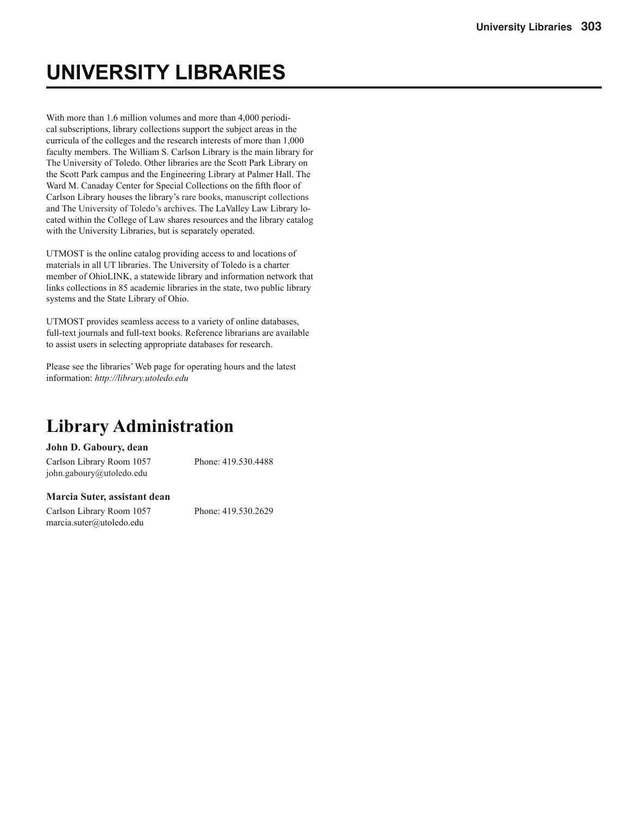# **UNIVERSITY LIBRARIES**

With more than 1.6 million volumes and more than 4,000 periodical subscriptions, library collections support the subject areas in the curricula of the colleges and the research interests of more than 1,000 faculty members. The William S. Carlson Library is the main library for The University of Toledo. Other libraries are the Scott Park Library on the Scott Park campus and the Engineering Library at Palmer Hall. The Ward M. Canaday Center for Special Collections on the fifth floor of Carlson Library houses the library's rare books, manuscript collections and The University of Toledo's archives. The LaValley Law Library located within the College of Law shares resources and the library catalog with the University Libraries, but is separately operated.

UTMOST is the online catalog providing access to and locations of materials in all UT libraries. The University of Toledo is a charter member of OhioLINK, a statewide library and information network that links collections in 85 academic libraries in the state, two public library systems and the State Library of Ohio.

UTMOST provides seamless access to a variety of online databases, full-text journals and full-text books. Reference librarians are available to assist users in selecting appropriate databases for research.

Please see the libraries' Web page for operating hours and the latest information: *http://library.utoledo.edu* 

## **Library Administration**

#### **John D. Gaboury, dean**

Carlson Library Room 1057 Phone: 419.530.4488 john.gaboury@utoledo.edu

#### **Marcia Suter, assistant dean**

Carlson Library Room 1057 Phone: 419.530.2629 marcia.suter@utoledo.edu